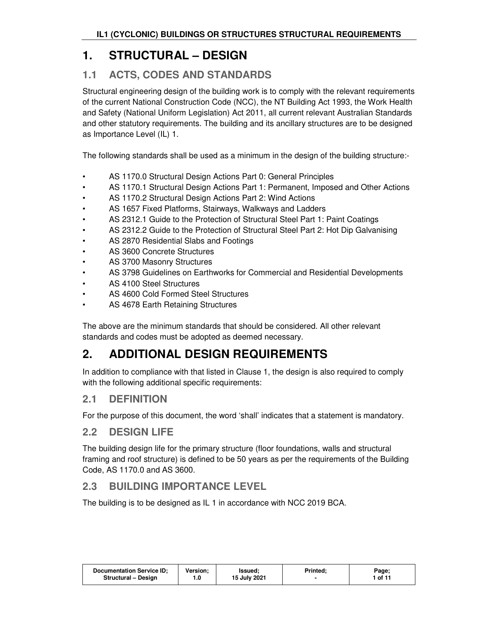# **1. STRUCTURAL – DESIGN**

## **1.1 ACTS, CODES AND STANDARDS**

Structural engineering design of the building work is to comply with the relevant requirements of the current National Construction Code (NCC), the NT Building Act 1993, the Work Health and Safety (National Uniform Legislation) Act 2011, all current relevant Australian Standards and other statutory requirements. The building and its ancillary structures are to be designed as Importance Level (IL) 1.

The following standards shall be used as a minimum in the design of the building structure:-

- AS 1170.0 Structural Design Actions Part 0: General Principles
- AS 1170.1 Structural Design Actions Part 1: Permanent, Imposed and Other Actions
- AS 1170.2 Structural Design Actions Part 2: Wind Actions
- AS 1657 Fixed Platforms, Stairways, Walkways and Ladders
- AS 2312.1 Guide to the Protection of Structural Steel Part 1: Paint Coatings
- AS 2312.2 Guide to the Protection of Structural Steel Part 2: Hot Dip Galvanising
- AS 2870 Residential Slabs and Footings
- AS 3600 Concrete Structures
- AS 3700 Masonry Structures
- AS 3798 Guidelines on Earthworks for Commercial and Residential Developments
- AS 4100 Steel Structures
- AS 4600 Cold Formed Steel Structures
- AS 4678 Earth Retaining Structures

The above are the minimum standards that should be considered. All other relevant standards and codes must be adopted as deemed necessary.

# **2. ADDITIONAL DESIGN REQUIREMENTS**

In addition to compliance with that listed in Clause 1, the design is also required to comply with the following additional specific requirements:

### **2.1 DEFINITION**

For the purpose of this document, the word 'shall' indicates that a statement is mandatory.

### **2.2 DESIGN LIFE**

The building design life for the primary structure (floor foundations, walls and structural framing and roof structure) is defined to be 50 years as per the requirements of the Building Code, AS 1170.0 and AS 3600.

## **2.3 BUILDING IMPORTANCE LEVEL**

The building is to be designed as IL 1 in accordance with NCC 2019 BCA.

|  |  | <b>Documentation Service ID:</b><br>Structural - Design | <b>Version:</b><br>. 0. ، | Issued:<br>15 July 2021 | Printed: | Page;<br>1 of 11 |
|--|--|---------------------------------------------------------|---------------------------|-------------------------|----------|------------------|
|--|--|---------------------------------------------------------|---------------------------|-------------------------|----------|------------------|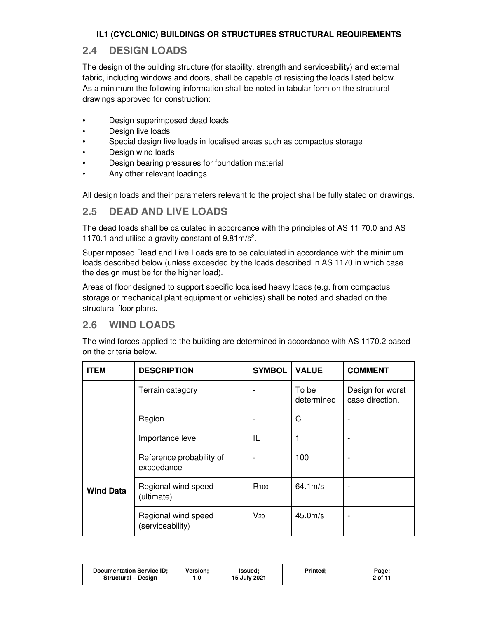### **2.4 DESIGN LOADS**

The design of the building structure (for stability, strength and serviceability) and external fabric, including windows and doors, shall be capable of resisting the loads listed below. As a minimum the following information shall be noted in tabular form on the structural drawings approved for construction:

- Design superimposed dead loads
- Design live loads
- Special design live loads in localised areas such as compactus storage
- Design wind loads
- Design bearing pressures for foundation material
- Any other relevant loadings

All design loads and their parameters relevant to the project shall be fully stated on drawings.

### **2.5 DEAD AND LIVE LOADS**

The dead loads shall be calculated in accordance with the principles of AS 11 70.0 and AS 1170.1 and utilise a gravity constant of  $9.81 \text{m/s}^2$ .

Superimposed Dead and Live Loads are to be calculated in accordance with the minimum loads described below (unless exceeded by the loads described in AS 1170 in which case the design must be for the higher load).

Areas of floor designed to support specific localised heavy loads (e.g. from compactus storage or mechanical plant equipment or vehicles) shall be noted and shaded on the structural floor plans.

## **2.6 WIND LOADS**

The wind forces applied to the building are determined in accordance with AS 1170.2 based on the criteria below.

| <b>ITEM</b>      | <b>DESCRIPTION</b>                      | <b>SYMBOL</b>    | <b>VALUE</b>          | <b>COMMENT</b>                      |
|------------------|-----------------------------------------|------------------|-----------------------|-------------------------------------|
|                  | Terrain category                        | ۰                | To be<br>determined   | Design for worst<br>case direction. |
|                  | Region                                  |                  | C                     |                                     |
|                  | Importance level                        | IL               | 1                     |                                     |
|                  | Reference probability of<br>exceedance  | ۰                | 100                   |                                     |
| <b>Wind Data</b> | Regional wind speed<br>(ultimate)       | R <sub>100</sub> | $64.1 \,\mathrm{m/s}$ |                                     |
|                  | Regional wind speed<br>(serviceability) | $V_{20}$         | 45.0 <sub>m/s</sub>   |                                     |

| <b>Documentation Service ID:</b> | <b>Version:</b> | Issued:      | <b>Printed:</b> | Page;   |
|----------------------------------|-----------------|--------------|-----------------|---------|
| <b>Structural - Design</b>       | ı.u             | 15 July 2021 |                 | 2 of 11 |
|                                  |                 |              |                 |         |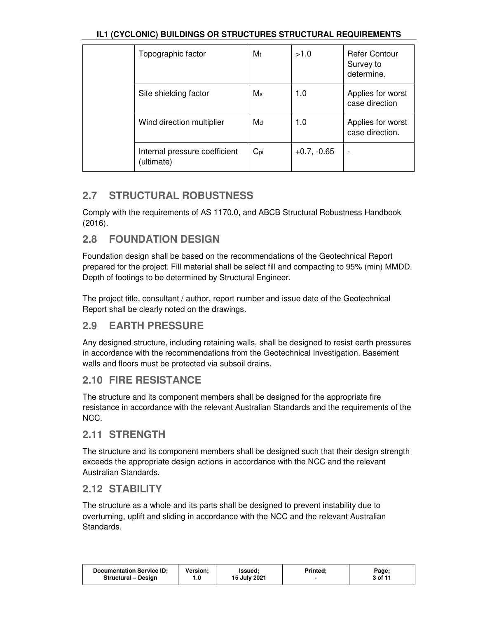| Topographic factor                          | Mt             | >1.0          | <b>Refer Contour</b><br>Survey to<br>determine. |
|---------------------------------------------|----------------|---------------|-------------------------------------------------|
| Site shielding factor                       | M <sub>s</sub> | 1.0           | Applies for worst<br>case direction             |
| Wind direction multiplier                   | Md             | 1.0           | Applies for worst<br>case direction.            |
| Internal pressure coefficient<br>(ultimate) | $C_{pi}$       | $+0.7, -0.65$ |                                                 |

## **2.7 STRUCTURAL ROBUSTNESS**

Comply with the requirements of AS 1170.0, and ABCB Structural Robustness Handbook (2016).

## **2.8 FOUNDATION DESIGN**

Foundation design shall be based on the recommendations of the Geotechnical Report prepared for the project. Fill material shall be select fill and compacting to 95% (min) MMDD. Depth of footings to be determined by Structural Engineer.

The project title, consultant / author, report number and issue date of the Geotechnical Report shall be clearly noted on the drawings.

## **2.9 EARTH PRESSURE**

Any designed structure, including retaining walls, shall be designed to resist earth pressures in accordance with the recommendations from the Geotechnical Investigation. Basement walls and floors must be protected via subsoil drains.

### **2.10 FIRE RESISTANCE**

The structure and its component members shall be designed for the appropriate fire resistance in accordance with the relevant Australian Standards and the requirements of the NCC.

### **2.11 STRENGTH**

The structure and its component members shall be designed such that their design strength exceeds the appropriate design actions in accordance with the NCC and the relevant Australian Standards.

### **2.12 STABILITY**

The structure as a whole and its parts shall be designed to prevent instability due to overturning, uplift and sliding in accordance with the NCC and the relevant Australian Standards.

| <b>Documentation Service ID:</b> | Version: | Issued:      | <b>Printed:</b> | Page;   |
|----------------------------------|----------|--------------|-----------------|---------|
| Structural - Design              | 0. ا     | 15 July 2021 |                 | 3 of 11 |
|                                  |          |              |                 |         |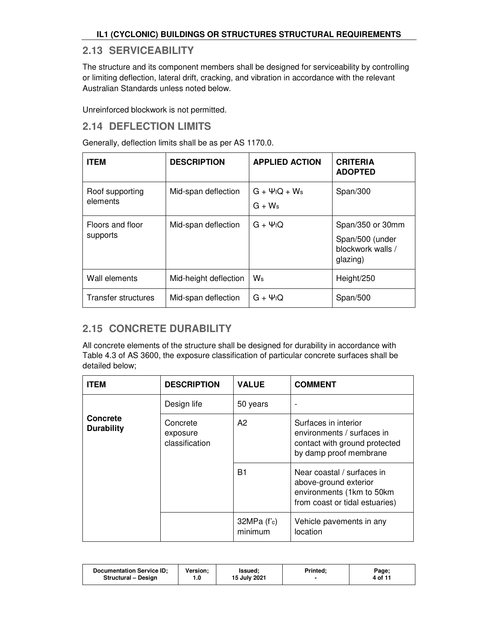### **2.13 SERVICEABILITY**

The structure and its component members shall be designed for serviceability by controlling or limiting deflection, lateral drift, cracking, and vibration in accordance with the relevant Australian Standards unless noted below.

Unreinforced blockwork is not permitted.

### **2.14 DEFLECTION LIMITS**

Generally, deflection limits shall be as per AS 1170.0.

| <b>ITEM</b>                  | <b>DESCRIPTION</b>    | <b>APPLIED ACTION</b>                                   | <b>CRITERIA</b><br><b>ADOPTED</b>                                    |
|------------------------------|-----------------------|---------------------------------------------------------|----------------------------------------------------------------------|
| Roof supporting<br>elements  | Mid-span deflection   | $G + \Psi$ <sub>I</sub> Q + W <sub>s</sub><br>$G + W_s$ | Span/300                                                             |
| Floors and floor<br>supports | Mid-span deflection   | $G + \Psi$ <sub>I</sub> Q                               | Span/350 or 30mm<br>Span/500 (under<br>blockwork walls /<br>glazing) |
| Wall elements                | Mid-height deflection | $W_{\rm s}$                                             | Height/250                                                           |
| Transfer structures          | Mid-span deflection   | $G + \Psi$ <sub>I</sub> Q                               | Span/500                                                             |

## **2.15 CONCRETE DURABILITY**

All concrete elements of the structure shall be designed for durability in accordance with Table 4.3 of AS 3600, the exposure classification of particular concrete surfaces shall be detailed below;

| <b>ITEM</b>                          | <b>DESCRIPTION</b>                     | <b>VALUE</b>             | <b>COMMENT</b>                                                                                                      |
|--------------------------------------|----------------------------------------|--------------------------|---------------------------------------------------------------------------------------------------------------------|
|                                      | Design life                            | 50 years                 |                                                                                                                     |
| <b>Concrete</b><br><b>Durability</b> | Concrete<br>exposure<br>classification | A2                       | Surfaces in interior<br>environments / surfaces in<br>contact with ground protected<br>by damp proof membrane       |
|                                      |                                        | B1                       | Near coastal / surfaces in<br>above-ground exterior<br>environments (1km to 50km)<br>from coast or tidal estuaries) |
|                                      |                                        | $32MPa$ (f'c)<br>minimum | Vehicle pavements in any<br>location                                                                                |

| <b>Documentation Service ID:</b><br><b>Structural - Design</b> | Version: | Issued:<br>15 July 2021 | Printed: | Page;<br>4 of 11 |
|----------------------------------------------------------------|----------|-------------------------|----------|------------------|
|                                                                |          |                         |          |                  |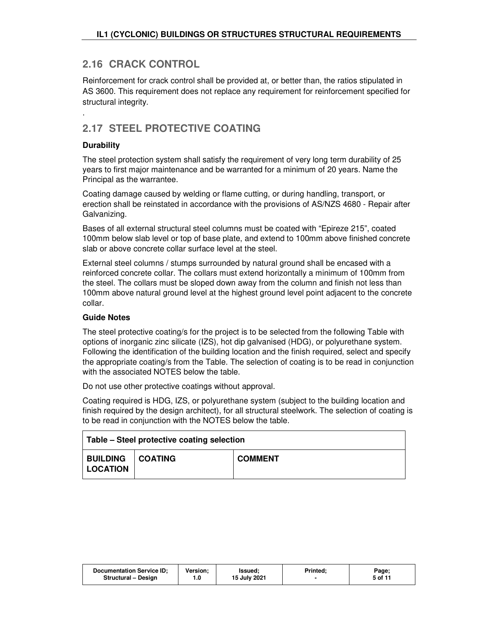## **2.16 CRACK CONTROL**

Reinforcement for crack control shall be provided at, or better than, the ratios stipulated in AS 3600. This requirement does not replace any requirement for reinforcement specified for structural integrity.

# **2.17 STEEL PROTECTIVE COATING**

#### **Durability**

.

The steel protection system shall satisfy the requirement of very long term durability of 25 years to first major maintenance and be warranted for a minimum of 20 years. Name the Principal as the warrantee.

Coating damage caused by welding or flame cutting, or during handling, transport, or erection shall be reinstated in accordance with the provisions of AS/NZS 4680 - Repair after Galvanizing.

Bases of all external structural steel columns must be coated with "Epireze 215", coated 100mm below slab level or top of base plate, and extend to 100mm above finished concrete slab or above concrete collar surface level at the steel.

External steel columns / stumps surrounded by natural ground shall be encased with a reinforced concrete collar. The collars must extend horizontally a minimum of 100mm from the steel. The collars must be sloped down away from the column and finish not less than 100mm above natural ground level at the highest ground level point adjacent to the concrete collar.

#### **Guide Notes**

The steel protective coating/s for the project is to be selected from the following Table with options of inorganic zinc silicate (IZS), hot dip galvanised (HDG), or polyurethane system. Following the identification of the building location and the finish required, select and specify the appropriate coating/s from the Table. The selection of coating is to be read in conjunction with the associated NOTES below the table.

Do not use other protective coatings without approval.

Coating required is HDG, IZS, or polyurethane system (subject to the building location and finish required by the design architect), for all structural steelwork. The selection of coating is to be read in conjunction with the NOTES below the table.

| Table – Steel protective coating selection   |  |                |  |  |  |
|----------------------------------------------|--|----------------|--|--|--|
| <b>BUILDING   COATING</b><br><b>LOCATION</b> |  | <b>COMMENT</b> |  |  |  |

| <b>Documentation Service ID:</b> | <b>Version:</b> | Issued:      | Printed. | Page;   |
|----------------------------------|-----------------|--------------|----------|---------|
| <b>Structural - Design</b>       | 0.،             | 15 July 2021 |          | 5 of 11 |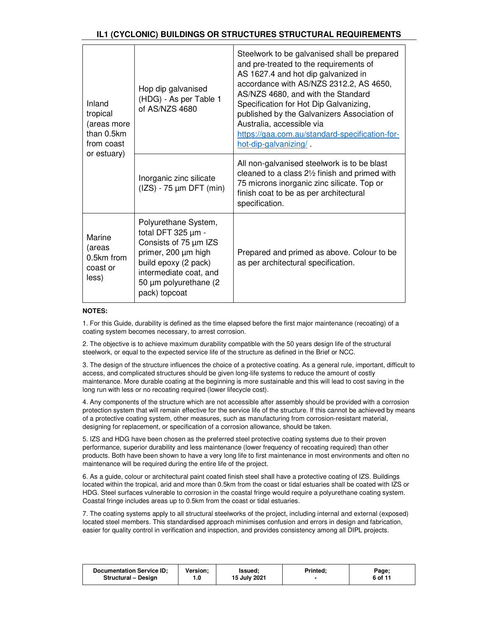| Inland<br>tropical<br>(areas more<br>than 0.5km<br>from coast<br>or estuary) | Hop dip galvanised<br>(HDG) - As per Table 1<br>of AS/NZS 4680                                                                                                                               | Steelwork to be galvanised shall be prepared<br>and pre-treated to the requirements of<br>AS 1627.4 and hot dip galvanized in<br>accordance with AS/NZS 2312.2, AS 4650,<br>AS/NZS 4680, and with the Standard<br>Specification for Hot Dip Galvanizing,<br>published by the Galvanizers Association of<br>Australia, accessible via<br>https://gaa.com.au/standard-specification-for-<br>hot-dip-galvanizing/ |
|------------------------------------------------------------------------------|----------------------------------------------------------------------------------------------------------------------------------------------------------------------------------------------|----------------------------------------------------------------------------------------------------------------------------------------------------------------------------------------------------------------------------------------------------------------------------------------------------------------------------------------------------------------------------------------------------------------|
|                                                                              | Inorganic zinc silicate<br>$(IZS) - 75 \mu m$ DFT $(min)$                                                                                                                                    | All non-galvanised steelwork is to be blast<br>cleaned to a class $2\frac{1}{2}$ finish and primed with<br>75 microns inorganic zinc silicate. Top or<br>finish coat to be as per architectural<br>specification.                                                                                                                                                                                              |
| Marine<br>(areas<br>$0.5km$ from<br>coast or<br>less)                        | Polyurethane System,<br>total DFT $325 \mu m -$<br>Consists of 75 µm IZS<br>primer, 200 µm high<br>build epoxy (2 pack)<br>intermediate coat, and<br>50 µm polyurethane (2)<br>pack) topcoat | Prepared and primed as above. Colour to be<br>as per architectural specification.                                                                                                                                                                                                                                                                                                                              |

#### **NOTES:**

1. For this Guide, durability is defined as the time elapsed before the first major maintenance (recoating) of a coating system becomes necessary, to arrest corrosion.

2. The objective is to achieve maximum durability compatible with the 50 years design life of the structural steelwork, or equal to the expected service life of the structure as defined in the Brief or NCC.

3. The design of the structure influences the choice of a protective coating. As a general rule, important, difficult to access, and complicated structures should be given long-life systems to reduce the amount of costly maintenance. More durable coating at the beginning is more sustainable and this will lead to cost saving in the long run with less or no recoating required (lower lifecycle cost).

4. Any components of the structure which are not accessible after assembly should be provided with a corrosion protection system that will remain effective for the service life of the structure. If this cannot be achieved by means of a protective coating system, other measures, such as manufacturing from corrosion-resistant material, designing for replacement, or specification of a corrosion allowance, should be taken.

5. IZS and HDG have been chosen as the preferred steel protective coating systems due to their proven performance, superior durability and less maintenance (lower frequency of recoating required) than other products. Both have been shown to have a very long life to first maintenance in most environments and often no maintenance will be required during the entire life of the project.

6. As a guide, colour or architectural paint coated finish steel shall have a protective coating of IZS. Buildings located within the tropical, arid and more than 0.5km from the coast or tidal estuaries shall be coated with IZS or HDG. Steel surfaces vulnerable to corrosion in the coastal fringe would require a polyurethane coating system. Coastal fringe includes areas up to 0.5km from the coast or tidal estuaries.

7. The coating systems apply to all structural steelworks of the project, including internal and external (exposed) located steel members. This standardised approach minimises confusion and errors in design and fabrication, easier for quality control in verification and inspection, and provides consistency among all DIPL projects.

| <b>Documentation Service ID:</b> | <b>Version:</b> | lssued:      | <b>Printed:</b> | Page;   |
|----------------------------------|-----------------|--------------|-----------------|---------|
| Structural - Design              |                 | 15 July 2021 |                 | 6 of 11 |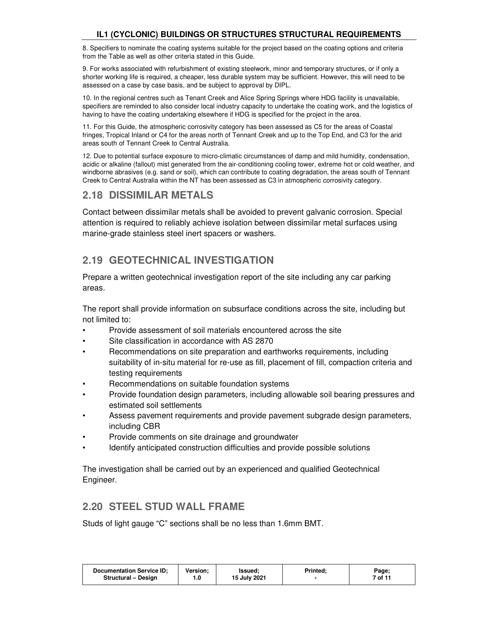8. Specifiers to nominate the coating systems suitable for the project based on the coating options and criteria from the Table as well as other criteria stated in this Guide.

9. For works associated with refurbishment of existing steelwork, minor and temporary structures, or if only a shorter working life is required, a cheaper, less durable system may be sufficient. However, this will need to be assessed on a case by case basis, and be subject to approval by DIPL.

10. In the regional centres such as Tenant Creek and Alice Spring Springs where HDG facility is unavailable, specifiers are reminded to also consider local industry capacity to undertake the coating work, and the logistics of having to have the coating undertaking elsewhere if HDG is specified for the project in the area.

11. For this Guide, the atmospheric corrosivity category has been assessed as C5 for the areas of Coastal fringes, Tropical Inland or C4 for the areas north of Tennant Creek and up to the Top End, and C3 for the arid areas south of Tennant Creek to Central Australia.

12. Due to potential surface exposure to micro-climatic circumstances of damp and mild humidity, condensation, acidic or alkaline (fallout) mist generated from the air-conditioning cooling tower, extreme hot or cold weather, and windborne abrasives (e.g. sand or soil), which can contribute to coating degradation, the areas south of Tennant Creek to Central Australia within the NT has been assessed as C3 in atmospheric corrosivity category.

### **2.18 DISSIMILAR METALS**

Contact between dissimilar metals shall be avoided to prevent galvanic corrosion. Special attention is required to reliably achieve isolation between dissimilar metal surfaces using marine-grade stainless steel inert spacers or washers.

## **2.19 GEOTECHNICAL INVESTIGATION**

Prepare a written geotechnical investigation report of the site including any car parking areas.

The report shall provide information on subsurface conditions across the site, including but not limited to:

- Provide assessment of soil materials encountered across the site
- Site classification in accordance with AS 2870
- Recommendations on site preparation and earthworks requirements, including suitability of in-situ material for re-use as fill, placement of fill, compaction criteria and testing requirements
- Recommendations on suitable foundation systems
- Provide foundation design parameters, including allowable soil bearing pressures and estimated soil settlements
- Assess pavement requirements and provide pavement subgrade design parameters, including CBR
- Provide comments on site drainage and groundwater
- Identify anticipated construction difficulties and provide possible solutions

The investigation shall be carried out by an experienced and qualified Geotechnical Engineer.

### **2.20 STEEL STUD WALL FRAME**

Studs of light gauge "C" sections shall be no less than 1.6mm BMT.

| <b>Documentation Service ID:</b><br>Version:<br>Issued:<br>15 July 2021<br>Structural - Design | Printed: | Page;<br>7 of 11 |
|------------------------------------------------------------------------------------------------|----------|------------------|
|------------------------------------------------------------------------------------------------|----------|------------------|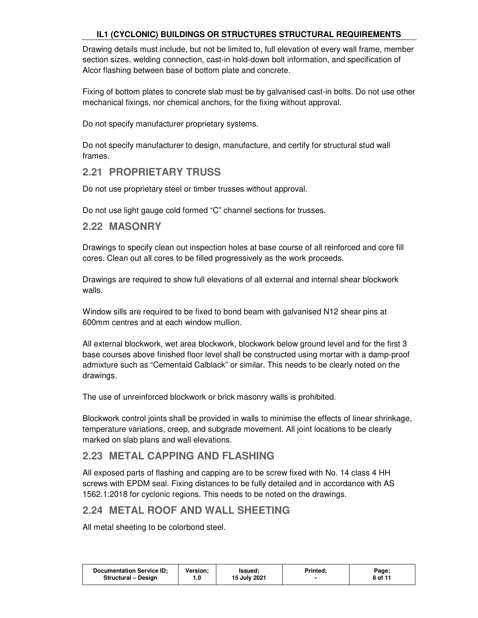Drawing details must include, but not be limited to, full elevation of every wall frame, member section sizes, welding connection, cast-in hold-down bolt information, and specification of Alcor flashing between base of bottom plate and concrete.

Fixing of bottom plates to concrete slab must be by galvanised cast-in bolts. Do not use other mechanical fixings, nor chemical anchors, for the fixing without approval.

Do not specify manufacturer proprietary systems.

Do not specify manufacturer to design, manufacture, and certify for structural stud wall frames.

### **2.21 PROPRIETARY TRUSS**

Do not use proprietary steel or timber trusses without approval.

Do not use light gauge cold formed "C" channel sections for trusses.

#### **2.22 MASONRY**

Drawings to specify clean out inspection holes at base course of all reinforced and core fill cores. Clean out all cores to be filled progressively as the work proceeds.

Drawings are required to show full elevations of all external and internal shear blockwork walls.

Window sills are required to be fixed to bond beam with galvanised N12 shear pins at 600mm centres and at each window mullion.

All external blockwork, wet area blockwork, blockwork below ground level and for the first 3 base courses above finished floor level shall be constructed using mortar with a damp-proof admixture such as "Cementaid Calblack" or similar. This needs to be clearly noted on the drawings.

The use of unreinforced blockwork or brick masonry walls is prohibited.

Blockwork control joints shall be provided in walls to minimise the effects of linear shrinkage, temperature variations, creep, and subgrade movement. All joint locations to be clearly marked on slab plans and wall elevations.

## **2.23 METAL CAPPING AND FLASHING**

All exposed parts of flashing and capping are to be screw fixed with No. 14 class 4 HH screws with EPDM seal. Fixing distances to be fully detailed and in accordance with AS 1562.1:2018 for cyclonic regions. This needs to be noted on the drawings.

### **2.24 METAL ROOF AND WALL SHEETING**

All metal sheeting to be colorbond steel.

| <b>Documentation Service ID:</b><br>Version:<br><b>Structural - Design</b><br>. 0 | <b>Printed:</b><br>Issued:<br>15 July 2021 | Page;<br>8 of 11 |
|-----------------------------------------------------------------------------------|--------------------------------------------|------------------|
|-----------------------------------------------------------------------------------|--------------------------------------------|------------------|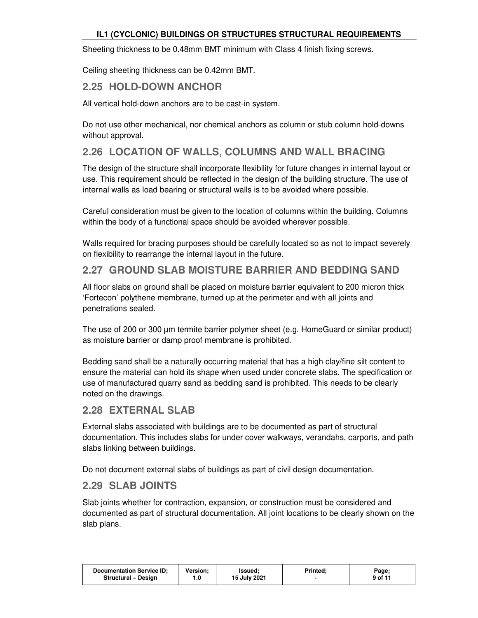Sheeting thickness to be 0.48mm BMT minimum with Class 4 finish fixing screws.

Ceiling sheeting thickness can be 0.42mm BMT.

#### **2.25 HOLD-DOWN ANCHOR**

All vertical hold-down anchors are to be cast-in system.

Do not use other mechanical, nor chemical anchors as column or stub column hold-downs without approval.

### **2.26 LOCATION OF WALLS, COLUMNS AND WALL BRACING**

The design of the structure shall incorporate flexibility for future changes in internal layout or use. This requirement should be reflected in the design of the building structure. The use of internal walls as load bearing or structural walls is to be avoided where possible.

Careful consideration must be given to the location of columns within the building. Columns within the body of a functional space should be avoided wherever possible.

Walls required for bracing purposes should be carefully located so as not to impact severely on flexibility to rearrange the internal layout in the future.

### **2.27 GROUND SLAB MOISTURE BARRIER AND BEDDING SAND**

All floor slabs on ground shall be placed on moisture barrier equivalent to 200 micron thick 'Fortecon' polythene membrane, turned up at the perimeter and with all joints and penetrations sealed.

The use of 200 or 300 µm termite barrier polymer sheet (e.g. HomeGuard or similar product) as moisture barrier or damp proof membrane is prohibited.

Bedding sand shall be a naturally occurring material that has a high clay/fine silt content to ensure the material can hold its shape when used under concrete slabs. The specification or use of manufactured quarry sand as bedding sand is prohibited. This needs to be clearly noted on the drawings.

#### **2.28 EXTERNAL SLAB**

External slabs associated with buildings are to be documented as part of structural documentation. This includes slabs for under cover walkways, verandahs, carports, and path slabs linking between buildings.

Do not document external slabs of buildings as part of civil design documentation.

#### **2.29 SLAB JOINTS**

Slab joints whether for contraction, expansion, or construction must be considered and documented as part of structural documentation. All joint locations to be clearly shown on the slab plans.

| <b>Documentation Service ID:</b> | Version: | Issued:      | <b>Printed:</b> | Page;   |
|----------------------------------|----------|--------------|-----------------|---------|
| Structural - Design              | 0. ا     | 15 July 2021 |                 | 9 of 11 |
|                                  |          |              |                 |         |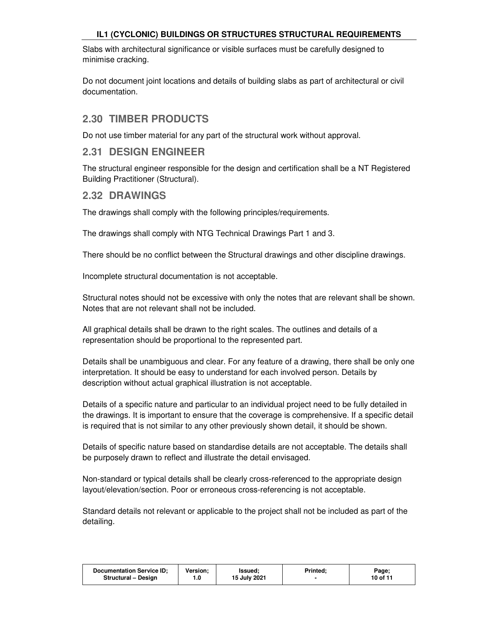Slabs with architectural significance or visible surfaces must be carefully designed to minimise cracking.

Do not document joint locations and details of building slabs as part of architectural or civil documentation.

### **2.30 TIMBER PRODUCTS**

Do not use timber material for any part of the structural work without approval.

#### **2.31 DESIGN ENGINEER**

The structural engineer responsible for the design and certification shall be a NT Registered Building Practitioner (Structural).

#### **2.32 DRAWINGS**

The drawings shall comply with the following principles/requirements.

The drawings shall comply with NTG Technical Drawings Part 1 and 3.

There should be no conflict between the Structural drawings and other discipline drawings.

Incomplete structural documentation is not acceptable.

Structural notes should not be excessive with only the notes that are relevant shall be shown. Notes that are not relevant shall not be included.

All graphical details shall be drawn to the right scales. The outlines and details of a representation should be proportional to the represented part.

Details shall be unambiguous and clear. For any feature of a drawing, there shall be only one interpretation. It should be easy to understand for each involved person. Details by description without actual graphical illustration is not acceptable.

Details of a specific nature and particular to an individual project need to be fully detailed in the drawings. It is important to ensure that the coverage is comprehensive. If a specific detail is required that is not similar to any other previously shown detail, it should be shown.

Details of specific nature based on standardise details are not acceptable. The details shall be purposely drawn to reflect and illustrate the detail envisaged.

Non-standard or typical details shall be clearly cross-referenced to the appropriate design layout/elevation/section. Poor or erroneous cross-referencing is not acceptable.

Standard details not relevant or applicable to the project shall not be included as part of the detailing.

| <b>Documentation Service ID:</b> | Version: | Issued:      | Printed: | Page;    |
|----------------------------------|----------|--------------|----------|----------|
| Structural - Design              |          | 15 July 2021 |          | 10 of 11 |